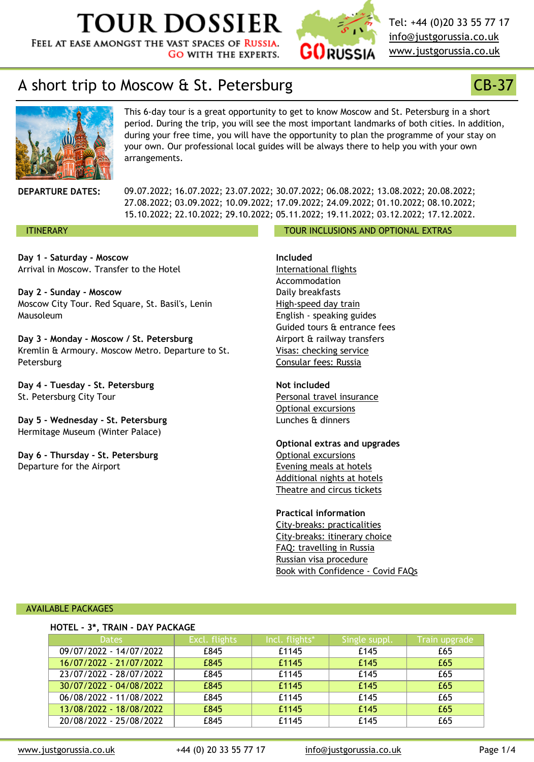**Day 1 - Saturday - Moscow** Arrival in Moscow. Transfer to the Hotel

**Day 2 - Sunday - Moscow** M[oscow City Tour. Red Square, St. Basil's, Lenin](http://www.justgorussia.co.uk/en) Mausoleum

**Day 3 - Monday - Moscow / St. Petersburg** Kremlin & Armoury. Moscow Metro. Departure to St. Petersburg

**Day 4 - Tuesday - St. Petersburg** St. Petersburg City Tour

**Day 5 - Wednesday - St. Petersburg** Hermitage Museum (Winter Palace)

**Day 6 - Thursday - St. Petersburg** Departure for the Airport

**Included**

International flights Accommodation Daily breakfasts High-speed day train English - speaking guides Guided tours & entrance fees Airport & railway transfers Visas: checking service Consular fees: Russia

**Not included** Personal travel insurance Optional excursions Lunches & dinners

**Optional extras and upgrade** Optional excursions Evening meals at hotels Additional nights at hotels Theatre and circus tickets

**Practical information** [City-breaks: practica](https://www.justgorussia.co.uk/en/faq_general.html#f4)lities City-breaks: itinerary choice FAQ: travelling in Russia [Russian visa procedur](https://www.justgorussia.co.uk/en/citybreak_packages.html#train)e Book with Confidence - Covid

#### AVAILABLE PACKAGES

| TIVILL J, IIVAIR DATTACHAUL |                         |               |                |               |  |  |  |
|-----------------------------|-------------------------|---------------|----------------|---------------|--|--|--|
|                             | <b>Dates</b>            | Excl. flights | Incl. flights* | Single suppl. |  |  |  |
|                             | 09/07/2022 - 14/07/2022 | £845          | £1145          | £145          |  |  |  |
|                             | 16/07/2022 - 21/07/2022 | £845          | £1145          | £145          |  |  |  |
|                             | 23/07/2022 - 28/07/2022 | £845          | £1145          | £145          |  |  |  |
|                             | 30/07/2022 - 04/08/2022 | £845          | £1145          | £145          |  |  |  |
|                             | 06/08/2022 - 11/08/2022 | £845          | £1145          | £145          |  |  |  |
|                             | 13/08/2022 - 18/08/2022 | £845          | £1145          | £145          |  |  |  |
|                             | 20/08/2022 - 25/08/2022 | £845          | £1145          | £145          |  |  |  |

**HOTEL - 3\*, TRAIN - DAY PACKAGE**

www.justgorussia.co.uk +44 (0) 20 33 55 77 17 [info@justgorussia.c](https://www.justgorussia.co.uk/en/playbill.html)o.u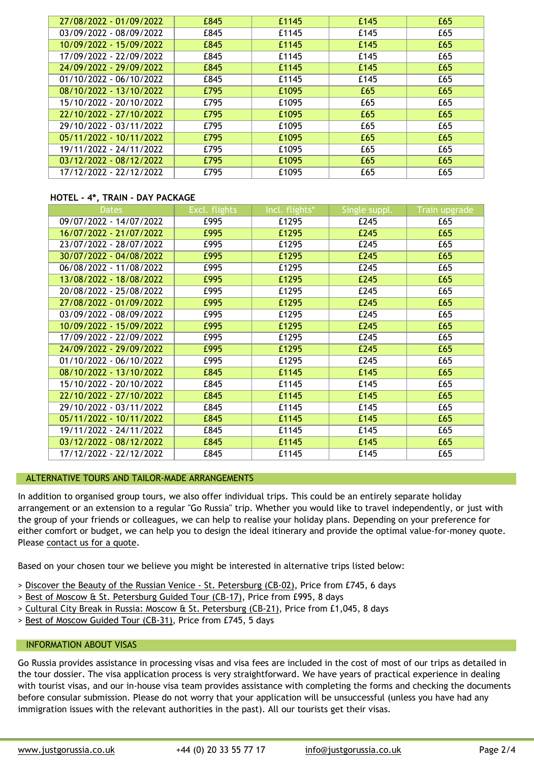| 30/07/2022 - 04/08/2022   | £995 | £1295 | £245 |
|---------------------------|------|-------|------|
| 06/08/2022 - 11/08/2022   | £995 | £1295 | £245 |
| 13/08/2022 - 18/08/2022   | £995 | £1295 | £245 |
| 20/08/2022 - 25/08/2022   | £995 | £1295 | £245 |
| 27/08/2022 - 01/09/2022   | £995 | £1295 | £245 |
| 03/09/2022 - 08/09/2022   | £995 | £1295 | £245 |
| 10/09/2022 - 15/09/2022   | £995 | £1295 | £245 |
| 17/09/2022 - 22/09/2022   | £995 | £1295 | £245 |
| 24/09/2022 - 29/09/2022   | £995 | £1295 | £245 |
| $01/10/2022 - 06/10/2022$ | £995 | £1295 | £245 |
| 08/10/2022 - 13/10/2022   | £845 | £1145 | £145 |
| 15/10/2022 - 20/10/2022   | £845 | £1145 | £145 |
| 22/10/2022 - 27/10/2022   | £845 | £1145 | £145 |
| 29/10/2022 - 03/11/2022   | £845 | £1145 | £145 |
| 05/11/2022 - 10/11/2022   | £845 | £1145 | £145 |
| 19/11/2022 - 24/11/2022   | £845 | £1145 | £145 |
| 03/12/2022 - 08/12/2022   | £845 | £1145 | £145 |
| 17/12/2022 - 22/12/2022   | £845 | £1145 | £145 |

#### ALTERNATIVE TOURS AND TAILOR-MADE ARRANGEMENTS

In addition to organised group tours, we also offer individual trips. This could be an entirely arrangement or an extension to a regular "Go Russia" trip. Whether you would like to travel i the group of your friends or colleagues, we can help to realise your holiday plans. Depending either comfort or budget, we can help you to design the ideal itinerary and provide the optir Please contact us for a quote.

Based on your chosen tour we believe you might be interested in alternative trips listed belo

- > Discover the Beauty of the Russian Venice St. Petersburg (CB-02), Price from £745, 6 days
- > Best of Moscow & St. Petersburg Guided Tour (CB-17), Price from £995, 8 days
- > Cultural City Break in Russia: Moscow & St. Petersburg (CB-21), Price from £1,045, 8 days
- > Best of Moscow Guided Tour (CB-31), Price from £745, 5 days

#### INFORMATION ABOUT VISAS

Go Russia provides assistance in processing visas and visa fees are included in the cost of most the tour dossier. The visa application process is very straightforward. We have years of pract with tourist visas, and our in-house visa team provides assistance with completing the forms before consular submission. Please do not worry that your application will be unsuccessful (u immigration issues with the relevant authorities in the past). All our tourists get their visas.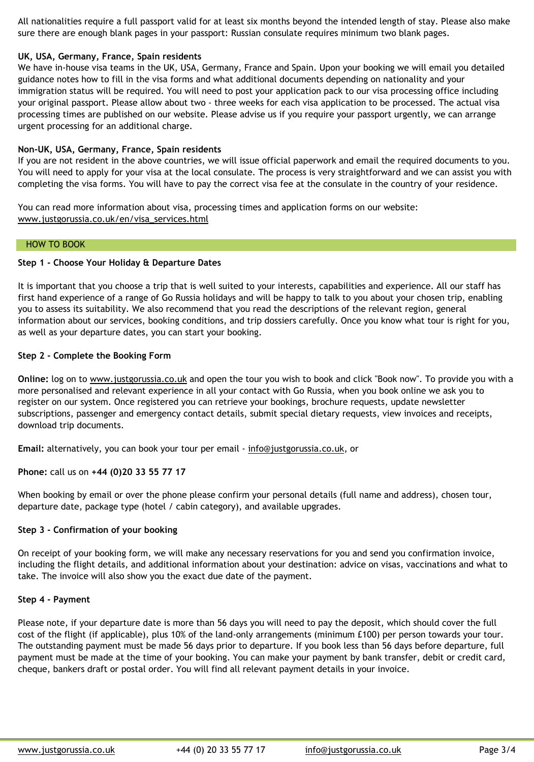#### **Step 1 - Choose Your Holiday & Departure Dates**

It is important that you choose a trip that is well suited to your interests, capabilities and ex first hand experience of a range of Go Russia holidays and will be happy to talk to you about you to assess its suitability. We also recommend that you read the descriptions of the relevant information about our services, booking conditions, and trip dossiers carefully. Once you know as well as your departure dates, you can start your booking.

# **Step 2 - Complete the Booking Form**

**Online:** log on to www.justgorussia.co.uk and open the tour you wish to book and click "Book". more personalised and relevant experience in all your contact with Go Russia, when you book register on our system. Once registered you can retrieve your bookings, brochure requests, u subscriptions, passenger and emergency contact details, submit special dietary requests, vie download trip documents.

Email: alternatively, you can book your tour per email - info@justgorussia.co.uk, or

# **Phone:** call us on **[+44 \(0\)20 33 55 77 17](http://www.justgorussia.co.uk/en/visa_services.html)**

When booking by email or over the phone please confirm your personal details (full name and address) departure date, package type (hotel / cabin category), and available upgrades.

# **Step 3 - Confirmation of your booking**

On receipt of your booking form, we will make any necessary reservations for you and send y including the flight details, and additional information about your destination: advice on visa take. The invoice will also show you the exact due date of the payment.

#### **Step 4 - Payment**

Please note, if your departure date is more than 56 days you will need to pay the deposit, where cost of the flight [\(if applicable\), plus 10%](https://www.justgorussia.co.uk/en/quick_trip_finder.html) of the land-only arrangements (minimum £100) per The outstanding payment must be made 56 days prior to departure. If you book less than 56 payment must be made at the time of your booking. You can make your payment by bank transfer, debit or credit c cheque, bankers draft or postal order. You will find all relevant payment details in your invo